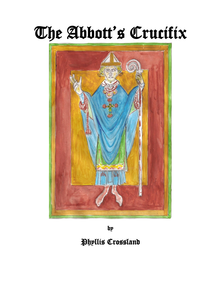# The Abbott's Crucifix



by

# Phyllis Crossland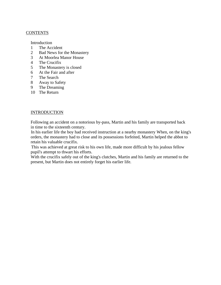### CONTENTS

Introduction

- 1 The Accident
- 2 Bad News for the Monastery
- 3 At Moorlea Manor House
- 4 The Crucifix
- 5 The Monastery is closed
- 6 At the Fair and after
- 7 The Search
- 8 Away to Safety
- 9 The Dreaming
- 10 The Return

## **INTRODUCTION**

Following an accident on a notorious by-pass, Martin and his family are transported back in time to the sixteenth century.

In his earlier life the boy had received instruction at a nearby monastery When, on the king's orders, the monastery had to close and its possessions forfeited, Martin helped the abbot to retain his valuable crucifix.

This was achieved at great risk to his own life, made more difficult by his jealous fellow pupil's attempt to thwart his efforts.

With the crucifix safely out of the king's clutches, Martin and his family are returned to the present, but Martin does not entirely forget his earlier life.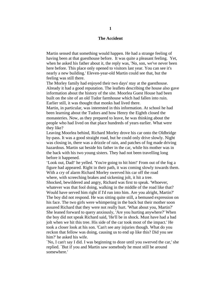#### **The Accident**

Martin sensed that something would happen. He had a strange feeling of having been at that guesthouse before. It was quite a pleasant feeling. Yet, when he asked his father about it, the reply was, 'No, son, we've never been here before. This place only opened to visitors last year. You can see it's nearly a new building.' Eleven-year-old Martin could see that, but the feeling was still there.

The Morley family had enjoyed their two days' stay at the guesthouse. Already it had a good reputation. The leaflets describing the house also gave information about the history of the site. Moorlea Guest House had been built on the site of an old Tudor farmhouse which had fallen into ruin. Earlier still, it was thought that monks had lived there.

Martin, in particular, was interested in this information. At school he had been learning about the Tudors and how Henry the Eighth closed the monasteries. Now, as they prepared to leave, he was thinking about the people who had lived on that place hundreds of years earlier. What were they like?

Leaving Moorlea behind, Richard Morley drove his car onto the Oldbridge by-pass. It was a good straight road, but he could only drive slowly. Night was closing in, there was a drizzle of rain, and patches of fog made driving hazardous. Martin sat beside his father in the car, while his mother was in the back with his two young sisters. They had not been travelling long before it happened.

'Look out, Dad!' he yelled. 'You're going to hit him!' From out of the fog a figure had appeared. Right in their path, it was coming slowly towards them. With a cry of alarm Richard Morley swerved his car off the road where, with screeching brakes and sickening jolt, it hit a tree. Shocked, bewildered and angry, Richard was first to speak. 'Whoever, whatever was that fool doing, walking in the middle of the road like that? Would have served him right if I'd run into him. Are you alright, Martin?' The boy did not respond. He was sitting quite still, a bemused expression on his face. The two girls were whimpering in the back but their mother soon assured Richard that they were not really hurt. 'What about you, Martin?' She leaned forward to query anxiously, 'Are you hurting anywhere?' When the boy did not speak Richard said, 'He'll be in shock. Must have had a bad jolt when we hit this tree. His side of the car took most of the impact.' He took a closer look at his son. 'Can't see any injuries though. What do you reckon that fellow was doing, causing us to end up like this? Did you see him?' he asked his wife.

`No, I can't say I did. I was beginning to doze until you swerved the car,' she replied. `But if you and Martin saw somebody he must still be around somewhere.'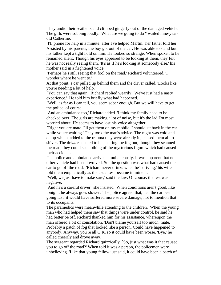They undid their seatbelts and climbed gingerly out of the damaged vehicle. The girls were sobbing loudly. 'What are we going to do?' wailed nine-yearold Catherine.

`I'll phone for help in a minute, after I've helped Martin,' her father told her. Assisted by his parents, the boy got out of the car. He was able to stand but his father kept a tight hold on him. He looked so strange. When spoken to he remained silent. Though his eyes appeared to be looking at them, they felt he was not really seeing them. 'It's as if he's looking at somebody else,' his mother said in a frightened voice.

'Perhaps he's still seeing that fool on the road,' Richard volunteered. 'I wonder where he went to.'

At that point, a car pulled up behind them and the driver called, 'Looks like you're needing a bit of help.'

`You can say that again,' Richard replied wearily. 'We've just had a nasty experience.' He told him briefly what had happened.

`Well, as far as I can tell, you seem sober enough. But we will have to get the police, of course.'

'And an ambulance too,' Richard added. 'I think my family need to be checked over. The girls are making a lot of noise, but it's the lad I'm most worried about. He seems to have lost his voice altogether.'

`Right you are mate. I'll get them on my mobile. I should sit back in the car while you're waiting.' They took the man's advice. The night was cold and damp which, added to the trauma they were already in, caused them all to shiver. The drizzle seemed to be clearing the fog but, though they scanned the road, they could see nothing of the mysterious figure which had caused their accident.

The police and ambulance arrived simultaneously. It was apparent that no other vehicle had been involved. So, the question was what had caused the car to go off the road. 'Richard never drinks when he's driving,' his wife told them emphatically as the usual test became imminent.

`Well, we just have to make sure,' said the law. Of course, the test was negative.

`And he's a careful driver,' she insisted. 'When conditions aren't good, like tonight, he always goes slower.' The police agreed that, had the car been going fast, it would have suffered more severe damage, not to mention that to its occupants.

The paramedics were meanwhile attending to the children. When the young man who had helped them saw that things were under control, he said he had better be off. Richard thanked him for his assistance, whereupon the man offered a bit of consolation. 'Don't blame yourself too much, mate. Probably a patch of fog that looked like a person. Could have happened to anybody. Anyway, you're all O.K. so it could have been worse. 'Bye,' he called cheerily and drove away.

The sergeant regarded Richard quizzically. `So, just what was it that caused you to go off the road?' When told it was a person, the policemen were unbelieving. 'Like that young fellow just said, it could have been a patch of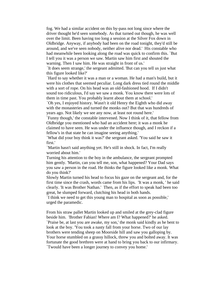fog. We had a similar accident on this by-pass not long since where the driver thought he'd seen somebody. As that turned out though, he was well over the limit. Been having too long a session at the Silver Fox down in Oldbridge. Anyway, if anybody had been on the road tonight, they'd still be around, and we've seen nobody, neither alive nor dead.' His constable who had meanwhile been looking along the road was quick to confirm this. `But I tell you it was a person we saw. Martin saw him first and shouted the warning. Then I saw him. He was straight in front of us.'

`It does seem strange,' the sergeant admitted. 'But can you tell us just what this figure looked like?'

`Hard to say whether it was a man or a woman. He had a man's build, but it were his clothes that seemed peculiar. Long dark dress tied round the middle with a sort of rope. On his head was an old-fashioned hood. If I didn't sound too ridiculous, I'd say we saw a monk. You know there were lots of them in time past. You probably learnt about them at school.'

`Oh yes, I enjoyed history. Wasn't it old Henry the Eighth who did away with the monasteries and turned the monks out? But that was hundreds of years ago. Not likely we see any now, at least not round here.'

`Funny though,' the constable intervened. Now I think of it, that fellow from Oldbridge you mentioned who had an accident here; it was a monk he claimed to have seen. He was under the influence though, and I reckon if a fellow's in that state he can imagine seeing anything.'

`What did your boy think it was?' the sergeant asked. 'You said he saw it first.'

`Martin hasn't said anything yet. He's still in shock. In fact, I'm really worried about him.'

Turning his attention to the boy in the ambulance, the sergeant prompted him gently. 'Martin, can you tell me, son, what happened? Your Dad says you saw a person in the road. He thinks the figure looked like a monk. What do you think?'

Slowly Martin turned his head to focus his gaze on the sergeant and, for the first time since the crash, words came from his lips. 'It was a monk, ' he said clearly. 'It was Brother Nathan.' Then, as if the effort to speak had been too great, he slumped forward, clutching his head in both hands.

`I think we need to get this young man to hospital as soon as possible,' urged the paramedic.

From his straw pallet Martin looked up and smiled at the grey-clad figure beside him. 'Brother Fabian! Where am I? What happened?' he asked. `Praise be, at last you are awake, my son,' the monk said kindly as he bent to look at the boy. 'You took a nasty fall from your horse. Two of our lay brothers were tending sheep on Moorside hill and saw you galloping by. Your horse stumbled on a grassy hillock, threw you and bolted away. It was fortunate the good brethren were at hand to bring you back to our infirmary. `Twould have been a longer journey to convey you home.'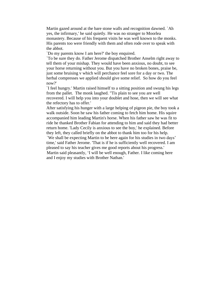Martin gazed around at the bare stone walls and recognition dawned. `Ah yes, the infirmary,' he said quietly. He was no stranger to Moorlea monastery. Because of his frequent visits he was well known to the monks. His parents too were friendly with them and often rode over to speak with the abbot.

`Do my parents know I am here?' the boy enquired.

`To be sure they do. Father Jerome dispatched Brother Anselm right away to tell them of your mishap. They would have been anxious, no doubt, to see your horse returning without you. But you have no broken bones, praise be, just some bruising v which will perchance feel sore for a day or two. The herbal compresses we applied should give some relief. So how do you feel now?'

`I feel hungry.' Martin raised himself to a sitting position and swung his legs from the pallet. The monk laughed. "Tis plain to see you are well recovered. I will help you into your doublet and hose, then we will see what the refectory has to offer.'

After satisfying his hunger with a large helping of pigeon pie, the boy took a walk outside. Soon he saw his father coming to fetch him home. His squire accompanied him leading Martin's horse. When his father saw he was fit to ride he thanked Brother Fabian for attending to him and said they had better return home. 'Lady Cecily is anxious to see the boy,' he explained. Before they left, they called briefly on the abbot to thank him too for his help.

`We shall be expecting Martin to be here again for his studies in two days' time,' said Father Jerome. 'That is if he is sufficiently well recovered. I am pleased to say his teacher gives me good reports about his progress.' Martin said pleasantly, 'I will be well enough, Father. I like coming here and I enjoy my studies with Brother Nathan.'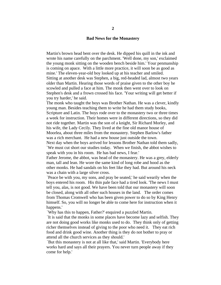#### **Bad News for the Monastery**

Martin's brown head bent over the desk. He dipped his quill in the ink and wrote his name carefully on the parchment. 'Well done, my son,' exclaimed the young monk sitting on the wooden bench beside him.' Your penmanship is coming on apace. With a little more practice, it will soon be as good as mine.' The eleven-year-old boy looked up at his teacher and smiled. Sitting at another desk was Stephen, a big, red-headed lad, almost two years older than Martin. Hearing those words of praise given to the other boy he scowled and pulled a face at him. The monk then went over to look on Stephen's desk and a frown crossed his face. 'Your writing will get better if you try harder,' he said.

The monk who taught the boys was Brother Nathan. He was a clever, kindly young man. Besides teaching them to write he had them study books, Scripture and Latin. The boys rode over to the monastery two or three times a week for instruction. Their homes were in different directions, so they did not ride together. Martin was the son of a knight, Sir Richard Morley, and his wife, the Lady Cecily. They lived at the fine old manor house of Moorlea, about three miles from the monastery. Stephen Barlow's father was a rich merchant. He had a new house just outside the town.

Next day when the boys arrived for lessons Brother Nathan told them sadly, `We must cut short our studies today. When we finish, the abbot wishes to speak with you in his room. He has bad news, I fear.'

Father Jerome, the abbot, was head of the monastery. He was a grey, elderly man, tall and lean. He wore the same kind of long robe and hood as the other monks. He had sandals on his feet like they had. But around his neck was a chain with a large silver cross.

`Peace be with you, my sons, and pray be seated,' he said wearily when the boys entered his room. His thin pale face had a tired look. 'The news I must tell you, alas, is not good. We have been told that our monastery will soon be closed, along with all other such houses in the land. The order comes from Thomas Cromwell who has been given power to do so by King Henry himself. So, you will no longer be able to come here for instruction when it happens.'

`Why has this to happen, Father?' enquired a puzzled Martin.

`It is said that the monks in some places have become lazy and selfish. They are not doing good works like monks used to do. They think only of getting richer themselves instead of giving to the poor who need it. They eat rich food and drink good wine. Another thing is they do not bother to pray or attend all the church services as they should.'

`But this monastery is not at all like that,' said Martin. 'Everybody here works hard and says all their prayers. You never turn people away if they come for help.'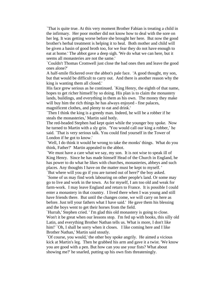`That is quite true. At this very moment Brother Fabian is treating a child in the infirmary. Her poor mother did not know how to deal with the sore on her leg. It was getting worse before she brought her here. But now the good brother's herbal treatment is helping it to heal. Both mother and child will be given a basin of good broth too, for we fear they do not have enough to eat at home.' The abbot gave a deep sigh. 'We do what we can here, but it seems all monasteries are not the same.'

`Couldn't Thomas Cromwell just close the bad ones then and leave the good ones alone?'

A half-smile flickered over the abbot's pale face. 'A good thought, my son, but that would be difficult to carry out. And there is another reason why the king is wanting them all closed.'

His face grew serious as he continued. `King Henry, the eighth of that name, hopes to get richer himself by so doing. His plan is to claim the monastery lands, buildings, and everything in them as his own. The money they make will buy him the rich things he has always enjoyed - fine palaces, magnificent clothes, and plenty to eat and drink.'

`Then I think the king is a greedy man. Indeed, he will be a robber if he steals the monasteries,' Martin said hotly.

The red-headed Stephen had kept quiet while the younger boy spoke. Now he turned to Martin with a sly grin. 'You would call our king a robber,' he said. `That is very serious talk. You could find yourself in the Tower of London if he got to know.'

`Well, I do think it would be wrong to take the monks' things. What do you think, Father?' Martin appealed to the abbot.

`We must have a care what we say, my son. It is not wise to speak ill of King Henry. Since he has made himself Head of the Church in England, he has power to do what he likes with churches, monasteries, abbeys and such places. Any thoughts I have on the matter must be kept to myself. '

`But where will you go if you are turned out of here?' the boy asked.

`Some of us may find work labouring on other people's land. Or some may go to live and work in the town. As for myself, I am too old and weak for farm-work. I may leave England and return to France. It is possible I could enter a monastery in that country. I lived there when I was young and still have friends there. But until the changes come, we will carry on here as before. Just tell your fathers what I have said.' He gave them his blessing and the boys went to get their horses from the field.

`Hurrah,' Stephen cried. ' I'm glad this old monastery is going to close. Won't it be great when our lessons stop. I'm fed up with books, this silly old Latin, and everything Brother Nathan tells us. What is more, I don't like him!' `Oh, I shall be sorry when it closes. I like coming here and I like Brother Nathan,' Martin said stoutly.

`Of course, you would,' the other boy spoke angrily. He aimed a vicious kick at Martin's leg. Then he grabbed his arm and gave it a twist. 'We know you are good with a pen. But how can you use your fists? What about showing me?' he snarled, putting up his own fists threateningly.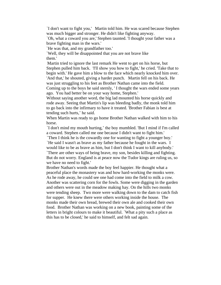`I don't want to fight you,' Martin told him. He was scared because Stephen was much bigger and stronger. He didn't like fighting anyway.

`Oh, what a coward you are,' Stephen taunted. 'I thought your father was a brave fighting man in the wars.'

`He was that, and my grandfather too.'

`Well, they will be disappointed that you are not brave like them.'

Martin tried to ignore the last remark He went to get on his horse, but Stephen pulled him back. 'I'll show you how to fight,' he cried. 'Take that to begin with.' He gave him a blow to the face which nearly knocked him over. 'And that,' he shouted, giving a harder punch. Martin fell on his back. He was just struggling to his feet as Brother Nathan came into the field.

Coming up to the boys he said sternly, ' I thought the wars ended some years ago. You had better be on your way home, Stephen.'

Without saying another word, the big lad mounted his horse quickly and rode away. Seeing that Martin's lip was bleeding badly, the monk told him to go back into the infirmary to have it treated. 'Brother Fabian is best at tending such hurts,' he said.

When Martin was ready to go home Brother Nathan walked with him to his horse.

`I don't mind my mouth hurting,' the boy mumbled. 'But I mind if I'm called a coward. Stephen called me one because I didn't want to fight him.'

`Then I think he is the cowardly one for wanting to fight a younger boy.'

`He said I wasn't as brave as my father because he fought in the wars. I would like to be as brave as him, but I don't think I want to kill anybody.' `There are other ways of being brave, my son, besides killing and fighting. But do not worry. England is at peace now the Tudor kings are ruling us, so we have no need to fight.'

Brother Nathan's words made the boy feel happier. He thought what a peaceful place the monastery was and how hard-working the monks were. As he rode away, he could see one had come into the field to milk a cow. Another was scattering corn for the fowls. Some were digging in the garden and others were out in the meadow making hay. On the hills two monks were tending sheep. Two more were walking down to the dam to catch fish for supper. He knew there were others working inside the house. The monks made their own bread, brewed their own ale and cooked their own food. Brother Nathan was working on a new book, painting some of the letters in bright colours to make it beautiful. `What a pity such a place as this has to be closed,' he said to himself, and felt sad again.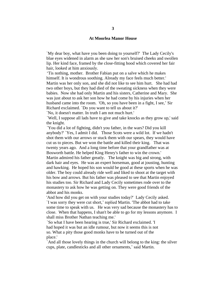#### **At Moorlea Manor House**

`My dear boy, what have you been doing to yourself?' The Lady Cecily's blue eyes widened in alarm as she saw her son's bruised cheeks and swollen lip. Her kind face, framed by the close-fitting hood which covered her fair hair, looked at him anxiously.

'Tis nothing, mother. Brother Fabian put on a salve which he makes himself. It is wondrous soothing. Already my face feels much better.' Martin was her only son, and she did not like to see him hurt. She had had two other boys, but they had died of the sweating sickness when they were babies. Now she had only Martin and his sisters, Catherine and Mary. She was just about to ask her son how he had come by his injuries when her husband came into the room. 'Oh, so you have been in a fight, I see,' Sir Richard exclaimed. `Do you want to tell us about it?'

`No, it doesn't matter. In truth I am not much hurt.'

`Well, I suppose all lads have to give and take knocks as they grow up,' said the knight.

`You did a lot of fighting, didn't you father, in the wars? Did you kill anybody?' `Yes, I admit I did. Those Scots were a wild lot. If we hadn't shot them with our arrows or stuck them with our spears, they would have cut us to pieces. But we won the battle and killed their king. That was twenty years ago. And a long time before that your grandfather was at Bosworth battle. He helped King Henry's father to win the crown.' Martin admired his father greatly. The knight was big and strong, with dark hair and eyes. He was an expert horseman, good at jousting, hunting and hawking. He hoped his son would be good at these sports when he was older. The boy could already ride well and liked to shoot at the target with his bow and arrows. But his father was pleased to see that Martin enjoyed his studies too. Sir Richard and Lady Cecily sometimes rode over to the monastery to ask how he was getting on. They were good friends of the abbot and his monks.

'And how did you get on with your studies today?' Lady Cecily asked. `I was sorry they were cut short,' replied Martin. 'The abbot had to take some time to speak with us. He was very sad because the monastery has to close. When that happens, I shan't be able to go for my lessons anymore. I shall miss Brother Nathan teaching me.'

`So what I have been hearing is true,' Sir Richard exclaimed. 'I had hoped it was but an idle rumour, but now it seems this is not so. What a pity those good monks have to be turned out of the place.'

`And all those lovely things in the church will belong to the king: the silver cups, plate, candlesticks and all other ornaments,' said Martin.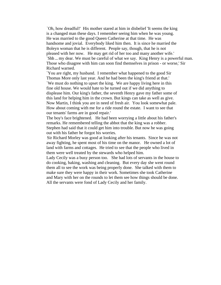`Oh, how dreadful!' His mother stared at him in disbelief 'It seems the king is a changed man these days. I remember seeing him when he was young. He was married to the good Queen Catherine at that time. He was handsome and jovial. Everybody liked him then. It is since he married the Boleyn woman that he is different. People say, though, that he is not pleased with her now. He may get rid of her too and many another wife.' `Shh ... my dear. We must be careful of what we say. King Henry is a powerful man. Those who disagree with him can soon find themselves in prison - or worse,' Sir Richard warned.

`You are right, my husband. I remember what happened to the good Sir Thomas More only last year. And he had been the king's friend at that.' `We must do nothing to upset the king. We are happy living here in this fine old house. We would hate to be turned out if we did anything to displease him. Our king's father, the seventh Henry gave my father some of this land for helping him in the crown. But kings can take as well as give. Now Martin, I think you are in need of fresh air. You look somewhat pale. How about coming with me for a ride round the estate. I want to see that our tenants' farms are in good repair.'

The boy's face brightened. He had been worrying a little about his father's remarks. He remembered telling the abbot that the king was a robber. Stephen had said that it could get him into trouble. But now he was going out with his father he forgot his worries.

Sir Richard Morley was good at looking after his tenants. Since he was not away fighting, he spent most of his time on the manor. He owned a lot of land with farms and cottages. He tried to see that the people who lived in them were well treated by the stewards who helped him.

Lady Cecily was a busy person too. She had lots of servants in the house to do cooking, baking, washing and cleaning. But every day she went round them all to see the work was being properly done. She talked with them to make sure they were happy in their work. Sometimes she took Catherine and Mary with her on the rounds to let them see how things should be done. All the servants were fond of Lady Cecily and her family.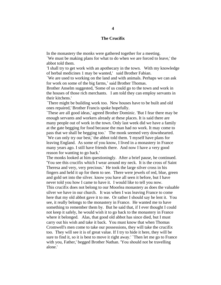#### **The Crucifix**

In the monastery the monks were gathered together for a meeting.

`We must be making plans for what to do when we are forced to leave,' the abbot told them.

'I shall try to get work with an apothecary in the town. With my knowledge of herbal medicines 1 may be wanted,' said Brother Fabian.

`We are used to working on the land and with animals. Perhaps we can ask for work on some of the big farms,' said Brother Thomas.

Brother Anselm suggested, 'Some of us could go to the town and work in the houses of those rich merchants. I am told they can employ servants in their kitchens.'

`There might be building work too. New houses have to be built and old ones repaired,' Brother Francis spoke hopefully.

`These are all good ideas,' agreed Brother Dominic. 'But I fear there may be enough servants and workers already at these places. It is said there are many people out of work in the town. Only last week did we have a family at the gate begging for food because the man had no work. It may come to pass that we shall be begging too.' The monk seemed very downhearted. `We can only try our best,' the abbot told them. 'I myself have plans for leaving England. As some of you know, I lived in a monastery in France many years ago. I still have friends there. And now I have a very good reason for wanting to go back.'

The monks looked at him questioningly. After a brief pause, he continued. 'You see this crucifix which I wear around my neck. It is the cross of Saint Theresa and very, very precious.' He took the large silver cross in his fingers and held it up for them to see. There were jewels of red, blue, green and gold set into the silver. know you have all seen it before, but I have never told you how I came to have it. I would like to tell you now.

This crucifix does not belong to our Moorlea monastery as does the valuable silver we have in our church. It was when I was leaving France to come here that my old abbot gave it to me. Or rather I should say he lent it. You see, it really belongs to the monastery in France. He wanted me to have something to remember them by. But he said that, if I ever thought I could not keep it safely, he would wish it to go back to the monastery in France where it belonged. Alas, that good old abbot has since died, but I must carry out his wish and take it back. You must know that when Thomas Cromwell's men come to take our possessions, they will take the crucifix too. They will see it is of great value. If I try to hide it here, they will be sure to find it, so it is best to move it right away.' `Then let me go to France with you, Father,' begged Brother Nathan. 'You should not be travelling alone.'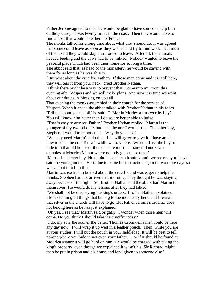Father Jerome agreed to this. He would be glad to have someone help him on the journey. it was twenty miles to the coast. Then they would have to find a boat that would take them to 'France.

The monks talked for a long time about what they should do. It was agreed that some could leave as soon as they wished and try to find work. But most of them said they would stay until forced to leave. After all, the animals needed feeding and the cows had to be milked. Nobody wanted to leave the peaceful place which had been their home for so long a time.

The abbot said that, as head of the monastery, he would be staying with them for as long as he was able to.

`But what about the crucifix, Father? If those men come and it is still here, they will tear it from your neck,' cried Brother Nathan.

'I think there might be a way to prevent that. Come into my room this evening after Vespers and we will make plans. And now it is time we went about our duties. A blessing on you all.'

That evening the monks assembled in their church for the service of Vespers. When it ended the abbot talked with Brother Nathan in his room. 'Tell me about your pupil,' he said. 'Is Martin Morley a trustworthy boy? You will know him better than I do so are better able to judge.'

`That is easy to answer, Father,' Brother Nathan replied. 'Martin is the younger of my two scholars but he is the one I would trust. The other boy, Stephen, I would trust not at all. Why do you ask?'

`We may need Martin's help then if he will agree to give it. I have an idea how to keep the crucifix safe while we stay here. We could ask the boy to hide it in that old house of theirs. There must be many old nooks and crannies at Moorlea Manor where nobody goes these days.'

`Martin is a clever boy. No doubt he can keep it safely until we are ready to leave,' said the young monk. 'He is due to come for instruction again in two more days so we can put it to him then.'

Martin was excited to be told about the crucifix and was eager to help the monks. Stephen had not arrived that morning. They thought he was staying away because of the fight. So, Brother Nathan and the abbot had Martin to themselves. He would do his lessons after they had talked.

`We shall not be disobeying the king's orders,' Brother Nathan explained. 'He is claiming all things that belong to the monastery here, and I fear all that silver in the church will have to go. But Father Jerome's crucifix does not belong here as he has just explained.'

`Oh yes, I see that,' Martin said brightly. 'I wonder when those men will come. Do you think I should take the crucifix today?'

`I do, my son, the sooner the better. Thomas Cromwell's men could be here any day now. I will wrap it up well in a leather pouch. Then, while you are at your studies, I will put the pouch in your saddlebag. It will be best to tell no-one where you hide it, not even your father. For if it should be found at Moorlea Manor it will go hard on him. He would be charged with taking the king's property, even though we explained it wasn't his. Sir Richard might then be put in prison and his house and land given to someone else.'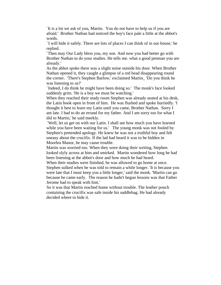`It is a lot we ask of you, Martin. You do not have to help us if you are afraid.' Brother Nathan had noticed the boy's face pale a little at the abbot's words.

`I will hide it safely. There are lots of places I can think of in our house,' he replied.

`Then may Our Lady bless you, my son. And now you had better go with Brother Nathan to do your studies. He tells me. what a good penman you are already.'

As the abbot spoke there was a slight noise outside his door. When Brother Nathan opened it, they caught a glimpse of a red head disappearing round the corner. 'There's Stephen Barlow,' exclaimed Martin\_ 'Do you think he was listening to us?'

`Indeed, I do think he might have been doing so.' The monk's face looked suddenly grim. 'He is a boy we must be watching.'

When they reached their study room Stephen was already seated at his desk, the Latin book open in front of him. He was flushed and spoke hurriedly. 'I thought it best to learn my Latin until you came, Brother Nathan. Sorry I am late. I had to do an errand for my father. And I am sorry too for what I did to Martin,' he said meekly.

`Well, let us get on with our Latin. I shall see how much you have learned while you have been waiting for us.' The young monk was not fooled by Stephen's pretended apology. He knew he was not a truthful boy and felt uneasy about the crucifix. If the lad had heard it was to be hidden in Moorlea Manor, he may cause trouble.

Martin was worried too. When they were doing their writing, Stephen looked slyly across at him and smirked. Martin wondered how long he had been listening at the abbot's door and how much he had heard.

When their studies were finished, he was allowed to go home at once. Stephen sulked when he was told to remain a while longer. 'It is because you were late that I must keep you a little longer,' said the monk. 'Martin can go because he came early. The reason he hadn't begun lessons was that Father Jerome had to speak with him.'

So it was that Martin reached home without trouble. The leather pouch containing the crucifix was safe inside his saddlebag. He had already decided where to hide it.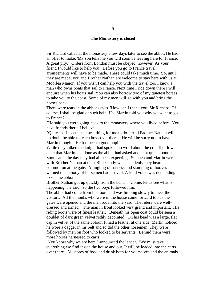#### **The Monastery is closed**

Sir Richard called at the monastery a few days later to see the abbot. He had an offer to make. 'My son tells me you will soon be leaving here for France. A great pity. Orders from London must be obeyed, however. As your friend I would like to help you. Before you go to France travel arrangements will have to be made. These could take much time. So, until they are made, you and Brother Nathan are welcome to stay here with us at Moorlea Manor. If you wish I can help you with the travel too. I know a man who owns boats that sail to France. Next time I ride down there I will enquire when his boats sail. You can also borrow two of my quietest horses to take you to the coast. Some of my men will go with you and bring the horses back.'

There were tears in the abbot's eyes. 'How can I thank you, Sir Richard. Of course, I shall be glad of such help. Has Martin told you why we want to go to France?'

`He said you were going back to the monastery where you lived before. You have friends there, I believe.'

`Quite so. It seems the best thing for me to do. And Brother Nathan will no doubt be able to teach boys over there. He will be sorry not to have Martin though. He has been a good pupil.'

While they talked the knight had spoken no word about the crucifix. It was clear that Martin had done as the abbot had asked and kept quiet about it. Soon came the day they had all been expecting. Stephen and Martin were with Brother Nathan at their Bible study when suddenly they heard a commotion at the gate. A jingling of harness and stamping of hooves warned that a body of horsemen had arrived. A loud voice was demanding to see the abbot.

Brother Nathan got up quickly from the bench. 'Come, let us see what is happening,' he said., so the two boys followed him.

The abbot had come from his room and was limping slowly to meet the visitors. All the monks who were in the house came forward too as the gates were opened and the men rode into the yard. The riders were welldressed and armed. The man in front looked very grand and important. His riding boots were of finest leather. Beneath his open coat could be seen a doublet of dark green velvet richly decorated. On his head was a large, flat cap in velvet of the same colour. It had a feather at one side. Martin noticed he wore a dagger in his belt and so did the other horsemen. They were followed by men on foot who looked to be servants. Behind them were more horses harnessed to carts.

`You know why we are here,' announced the leader. 'We must take everything we find inside the house and out. It will be loaded into the carts over there. All stores of food and drink both for yourselves and the animals.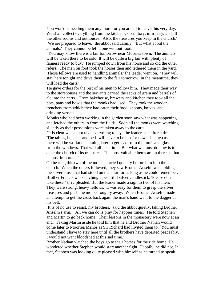You won't be needing them any more for you are all to leave this very day. We shall collect everything from the kitchens, dormitory, infirmary, and all the other rooms and outhouses. Also, the treasures you keep in the church.' `We are prepared to leave,' the abbot said calmly. 'But what about the animals? They cannot be left alone without food.'

`You may know there is a fair tomorrow near Moorlea town. The animals will be taken there to be sold. It will be quite a big fair with plenty of fanners ready to buy.' He jumped down from his horse and so did the other riders. The men on foot took the horses then and tethered them in the yard. 'Those fellows are used to handling animals,' the leader went on. 'They will stay here tonight and drive them to the fair tomorrow. In the meantime, they will load the carts.'

He gave orders for the rest of his men to follow him. They made their way to the storehouses and the servants carried the sacks of grain and barrels of ale into the carts. From bakehouse, brewery and kitchen they took all the pots, pans and bowls that the monks had used. They took the wooden trenchers from which they had eaten their food, spoons, knives, and drinking vessels.

Monks who had been working in the garden soon saw what was happening and fetched the others in from the fields. Soon all the monks were watching silently as their possessions were taken away to the carts.

`It is clear we cannot take everything today,' the leader said after a time. 'The tables, benches and beds will have to be left for now. In any case, there will be workmen coming later to get lead from the roofs and glass from the windows. That will all take time. But what we must do now is to clear the church of its treasures. The most valuable items are in there so that is most important.'

On hearing this two of the monks hurried quickly before him into the church. When the others followed, they saw Brother Anselm was holding the silver cross that had stood on the altar for as long as he could remember. Brother Francis was clutching a beautiful silver candlestick. 'Please don't take these,' they pleaded. But the leader made a sign to two of his men. They were strong, heavy fellows. It was easy for them to grasp the silver treasures and push the monks roughly away. When Brother Anselm made an attempt to get the cross back again the man's hand went to the dagger at his belt.

`It is of no use to resist, my brothers,' said the abbot quietly, taking Brother Anselm's arm. 'All we can do is pray for happier times.' He told Stephen and Martin to go back home. Their lessons in the monastery were now at an end. Taking Martin aside he told him that he and Brother Nathan would come later to Moorlea Manor as Sir Richard had invited them to. `You must understand I have to stay here until all the brothers have departed peaceably. I would not want bloodshed at this sad time.'

Brother Nathan watched the boys go to their horses for the ride home. He wondered whether Stephen would start another fight. Happily, he did not. In fact, Stephen was looking quite pleased with himself as he turned to speak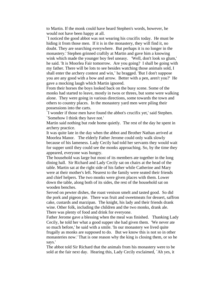to Martin. If the monk could have heard Stephen's words, however, he would not have been happy at all.

`I noticed the good abbot was not wearing his crucifix today. He must be hiding it from those men. If it is in the monastery, they will find it, no doubt. They are searching everywhere. But perhaps it is no longer in the monastery.' Stephen grinned craftily at Martin and gave him a knowing wink which made the younger boy feel uneasy. 'Well, don't look so glum,' he said. 'It is Moorlea Fair tomorrow. Are you going? I shall be going with my father. There will be lots to see besides watching those animals sold, I shall enter the archery contest and win,' he bragged. 'But I don't suppose you are any good with a bow and arrow. Better with a pen, aren't you?' He gave a mocking laugh which Martin ignored.

From their horses the boys looked back on the busy scene. Some of the monks had started to leave, mostly in twos or threes, but some were walking alone. They were going in various directions, some towards the town and others to country places. In the monastery yard men were piling their possessions into the carts.

`I wonder if those men have found the abbot's crucifix yet,' said Stephen. `Somehow I think they have not.'

Martin said nothing but rode home quietly. The rest of the day he spent in archery practice.

It was quite late in the day when the abbot and Brother Nathan arrived at Moorlea Manor. The elderly Father Jerome could only walk slowly because of his lameness. Lady Cecily had told her servants they would wait for supper until they could see the monks approaching. So, by the time they appeared, everyone was hungry.

The household was large but most of its members ate together in the long dining hall. Sir Richard and Lady Cecily sat on chairs at the head of the table. Martin sat at the right side of his father while Catherine and Mary were at their mother's left. Nearest to the family were seated their friends and chief helpers. The two monks were given places with them. Lower down the table, along both of its sides, the rest of the household sat on wooden benches.

Served on pewter dishes, the roast venison smelt and tasted good. So did the pork and pigeon pie. There was fruit and sweetmeats for dessert, saffron cake, custards and marzipan. The knight, his lady and their friends drank wine. Other folk, including the children and the two monks, drank ale. There was plenty of food and drink for everyone.

Father Jerome gave a blessing when the meal was finished. Thanking Lady Cecily, he told her what a good supper she had given them. 'We never ate so much before,' he said with a smile. 'In our monastery we lived quite frugally as monks are supposed to do. But we know this is not so in other monasteries now.' That is one reason why the king is closing them, or so he says.'

The abbot told Sir Richard that the animals from his monastery were to be sold at the fair next day. Hearing this, Lady Cecily exclaimed, `Ah yes, it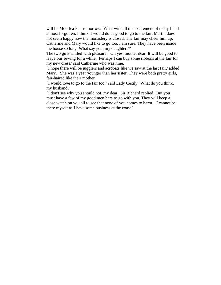will be Moorlea Fair tomorrow. What with all the excitement of today I had almost forgotten. I think it would do us good to go to the fair. Martin does not seem happy now the monastery is closed. The fair may cheer him up. Catherine and Mary would like to go too, I am sure. They have been inside the house so long. What say you, my daughters?'

The two girls smiled with pleasure. 'Oh yes, mother dear. It will be good to leave our sewing for a while. Perhaps I can buy some ribbons at the fair for my new dress,' said Catherine who was nine.

`I hope there will be jugglers and acrobats like we saw at the last fair,' added Mary. She was a year younger than her sister. They were both pretty girls, fair-haired like their mother.

`I would love to go to the fair too,' said Lady Cecily. 'What do you think, my husband?'

`I don't see why you should not, my dear,' Sir Richard replied. 'But you must have a few of my good men here to go with you. They will keep a close watch on you all to see that none of you comes to harm. I cannot be there myself as I have some business at the coast.'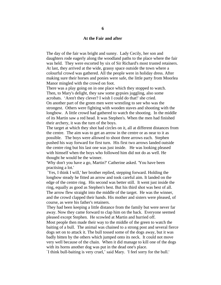#### **At the Fair and after**

The day of the fair was bright and sunny. Lady Cecily, her son and daughters rode eagerly along the woodland paths to the place where the fair was held. They were escorted by six of Sir Richard's most trusted retainers. At last, they arrived at the wide, grassy space outside the town where a colourful crowd was gathered. All the people were in holiday dress. After making sure their horses and ponies were safe, the little party from Moorlea Manor mingled with the crowd on foot.

There was a play going on in one place which they stopped to watch. Then, to Mary's delight, they saw some gypsies juggling, also some acrobats. 'Aren't they clever? I wish I could do that!' she cried. On another part of the green men were wrestling to see who was the strongest. Others were fighting with wooden staves and shooting with the longbow. A little crowd had gathered to watch the shooting. In the middle of its Martin saw a red head. It was Stephen's. When the men had finished their archery, it was the turn of the boys.

The target at which they shot had circles on it, all at different distances from the centre. The aim was to get an arrow in the centre or as near to it as possible. The boys were allowed to shoot three arrows each. Stephen pushed his way forward for first turn. His first two arrows landed outside the centre ring but his last one was just inside. He was looking pleased with himself when the boys who followed him did not do as well. He thought he would be the winner.

'Why don't you have a go, Martin?' Catherine asked. 'You have been practising a lot.'

`Yes, I think I will,' her brother replied, stepping forward. Holding the longbow steady he fitted an arrow and took careful aim. It landed on the edge of the centre ring. His second was better still. It went just inside the ring, equally as good as Stephen's best. But his third shot was best of all. The arrow flew straight into the middle of the target. He was the winner, and the crowd clapped their hands. His mother and sisters were pleased, of course, as were his father's retainers.

They had been keeping a little distance from the family but were never far away. Now they came forward to clap him on the back. Everyone seemed pleased except Stephen. He scowled at Martin and hurried off.

Most people then made their way to the middle of the green to watch the baiting of a bull. The animal was chained to a strong post and several fierce dogs set on to attack it. The bull tossed some of the dogs away, but it was badly bitten by the others which jumped onto its neck. It could not move very well because of the chain. When it did manage to kill one of the dogs with its horns another dog was put in the dead one's place.

`I think bull-baiting is very cruel,' said Mary. 'I feel sorry for the bull.'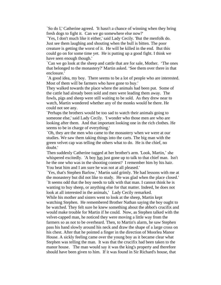`So do I,' Catherine agreed. 'It hasn't a chance of winning when they bring fresh dogs to fight it. Can we go somewhere else now?'

`Yes, I don't much like it either,' said Lady Cecily. 'But the menfolk do. Just see them laughing and shouting when the bull is bitten. The poor creature is getting the worst of it. He will be killed in the end. But this could go on for some time yet. He is putting up a good fight. I think we have seen enough though.'

`Can we go look at the sheep and cattle that are for sale, Mother. 'The ones that belonged to the monastery?' Martin asked. 'See them over there in that enclosure.'

`A good idea, my boy. There seems to be a lot of people who are interested. Most of them will be farmers who have gone to buy.'

They walked towards the place where the animals had been put. Some of the cattle had already been sold and men were leading them away. The fowls, pigs and sheep were still waiting to be sold. As they drew near to watch, Martin wondered whether any of the monks would be there. He could not see any.

`Perhaps the brothers would be too sad to watch their animals going to someone else,' said Lady Cecily. 'I wonder who those men are who are looking after them. And that important looking one in the rich clothes. He seems to be in charge of everything.'

`Oh, they are the men who came to the monastery when we were at our studies. We saw them taking things into the carts. The big man with the green velvet cap was telling the others what to do. He is the chief, no doubt.'

Then suddenly Catherine tugged at her brother's arm. 'Look, Martin,' she whispered excitedly. 'A boy has just gone up to talk to that chief man. Isn't he the one who was in the shooting contest? I remember him by his hair. You beat him and I am sure he was not at all pleased.'

`Yes, that's Stephen Barlow,' Martin said grimly. 'He had lessons with me at the monastery but did not like to study. He was glad when the place closed.' `It seems odd that the boy needs to talk with that man. I cannot think he is wanting to buy sheep, or anything else for that matter. Indeed, he does not look at all interested in the animals,' Lady Cecily remarked.

While his mother and sisters went to look at the sheep, Martin kept watching Stephen. He remembered Brother Nathan saying the boy ought to be watched. They felt sure he knew something about the abbot's crucifix and would make trouble for Martin if he could. Now, as Stephen talked with the velvet-capped man, he noticed they were moving a little way from the farmers so as not to be overheard. Then, to Martin's alarm, he saw Stephen pass his hand slowly around his neck and draw the shape of a large cross on his chest. After that he pointed a finger in the direction of Moorlea Manor House. A sickly feeling came over the young boy as it became clear what Stephen was telling the man. It was that the crucifix had been taken to the manor house. The man would say it was the king's property and therefore should have been given to him. If it was found in Sir Richard's house, that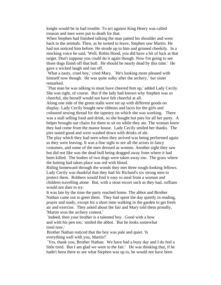knight would be in bad trouble. To act against King Henry was called treason and men were put to death for that.

When Stephen had finished talking the man patted his shoulder and went back to the animals. Then, as he turned to leave, Stephen saw Martin. He had not noticed him before. He strode up to him and grinned cheekily. In a mocking voice he said, 'Well, Robin Hood, you did have a bit of luck at that target. Don't suppose you could do it again though. Now I'm going to see those dogs finish off that bull. He should be nearly dead by this time.' He gave a wicked laugh and ran off.

`What a nasty, cruel boy,' cried Mary. `He's looking more pleased with himself now though. He was quite sulky after the archery,' her sister remarked.

`That man he was talking to must have cheered him up,' added Lady Cecily. She was right, of course. But if the lady had known why Stephen was so cheerful, she herself would not have felt cheerful at all.

Along one side of the green stalls were set up with different goods on display. Lady Cecily bought new ribbons and laces for the girls and coloured sewing thread for the tapestry on which she was working. There was a stall selling food and drink, so she bought hot pies for all her party. A helper brought out chairs for them to sit on while they ate. The woman knew they had come from the manor house. Lady Cecily smiled her thanks. The pies tasted good and were washed down with drinks of ale.

The play which they had seen when they arrived was being performed again as they were leaving. It was a fine sight to see all the actors in fancy costumes, and some of the men dressed as women. Another sight they saw but did not like was the dead bull being dragged away from where it had been killed. The bodies of two dogs were taken away too. The grass where the baiting had taken place was red with blood.

Riding homeward through the woods they met three rough-looking fellows. Lady Cecily was thankful that they had Sir Richard's six strong men to protect them. Robbers would find it easy to steal from a woman and children travelling alone. But, with a stout escort such as they had, ruffians would not dare to try.

It was late by the time the party reached home. The abbot and Brother Nathan came out to greet them. They had spent the day quietly in reading, prayer and study, except for a short time walking in the garden to get fresh air and exercise. They asked about the fair and Mary told them proudly, 'Martin won the archery contest.'

`Indeed, then your brother is a talented boy. Good with a bow and with his pen too,' smiled the abbot. `But he looks somewhat tired now.'

Brother Nathan noticed that the boy was pale and quiet. 'Is everything well with you, Martin?'

`Yes, thank you, Brother Nathan. We have had a busy day and I do feel a little tired. But I am glad we went to the fair.' He was thinking that, if he hadn't been there to see what Stephen was up to, he would not have been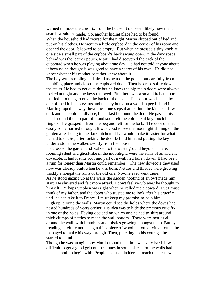warned to move the crucifix from the house. It did seem likely now that a search would be made. So, another hiding place had to be found. When the household had retired for the night Martin slipped out of bed and put on his clothes. He went to a little cupboard in the corner of his room and opened the door. It looked to be empty. But when he pressed a tiny knob at one side a small part of the cupboard's back swung open. In the dark space behind was the leather pouch. Martin had discovered the trick of the cupboard when he was playing about one day. He had not told anyone about it because he thought it was good to have a secret of his own. He did not know whether his mother or father knew about it.

The boy was trembling and afraid as he took the pouch out carefully from its hiding place and closed the cupboard door. Then he crept softly down the stairs. He had to get outside but he knew the big main doors were always locked at night and the keys removed. But there was a small kitchen door that led into the garden at the back of the house. This door was locked by one of the kitchen servants and the key hung on a wooden peg behind it. Martin groped his way down the stone steps that led into the kitchen. It was dark and he could hardly see, but at last he found the door. He passed his hand around the top part of it and soon felt the cold metal key touch his fingers. He grasped it from the peg and felt for the lock. The door opened easily so he hurried through. It was good to see the moonlight shining on the garden after being in the dark kitchen. That would make it easier for what he had to do. So, after locking the door behind him and putting the key under a stone, he walked swiftly from the house.

He crossed the garden and walked to the waste ground beyond. There, looming silent and ghost-like in the moonlight, were the ruins of an ancient dovecote. It had lost its roof and part of a wall had fallen down. It had been a ruin for longer than Martin could remember. The new dovecote they used now was already built when he was born. Nettles and thistles were growing thickly amongst the ruins of the old one. No-one ever went there.

As he stood gazing up at the walls the sudden hooting of an owl made him start. He shivered and felt more afraid. 'I don't feel very brave,' he thought to himself ' Perhaps Stephen was right when he called me a coward. But I must think of my father, and the abbot who trusted me to look after his crucifix until he can take it to France. I must keep my promise to help him.' High up, around the walls, Martin could see the holes where the doves had nested hundreds of years earlier. His idea was to hide the precious crucifix in one of the holes. Having decided on which one he had to skirt around thick clumps of nettles to reach the wall bottom. There were nettles all around the wall, with brambles and thistles growing amongst them. But by treading carefully and using a thick piece of wood he found lying around, he managed to make his way through. Then, plucking up his courage, he started to climb.

Though he was an agile boy Martin found the climb was very hard. It was difficult to get a good grip on the stones in some places for the walls had been smooth to begin with. People had used ladders to reach the nests when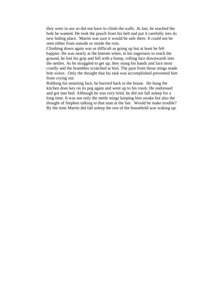they were in use so did not have to climb the walls. At last, he reached the hole he wanted. He took the pouch from his belt and put it carefully into its new hiding place. Martin was sure it would be safe there. It could not be seen either from outside or inside the ruin.

Climbing down again was as difficult as going up but at least he felt happier. He was nearly at the bottom when, in his eagerness to reach the ground, he lost his grip and fell with a bump, rolling face downwards into the nettles. As he struggled to get up, they stung his hands and face most cruelly and the brambles scratched at him. The pain from those stings made him wince. Only the thought that his task was accomplished prevented him from crying out.

Rubbing his smarting face, he hurried back to the house. He hung the kitchen door key on its peg again and went up to his room. He undressed and got into bed. Although he was very tired, he did not fall asleep for a long time. It was not only the nettle stings keeping him awake but also the thought of Stephen talking to that man at the fair. Would he make trouble? By the time Martin did fall asleep the rest of the household was waking up.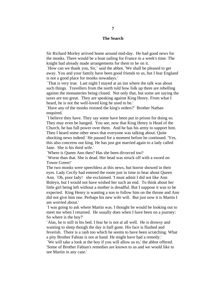#### **The Search**

Sir Richard Morley arrived home around mid-day. He had good news for the monks. There would be a boat sailing for France in a week's time. The knight had already made arrangements for them to be on it.

`How can we thank you, Sir,' said the abbot. 'We shall be pleased to get away. You and your family have been good friends to us, but I fear England is not a good place for monks nowadays.'

`That is very true. Last night I stayed at an inn where the talk was about such things. Travellers from the north told how folk up there are rebelling against the monasteries being closed. Not only that, but some are saying the taxes are too great. They are speaking against King Henry. From what I heard, he is not the well-loved king he used to be.'

`Have any of the monks resisted the king's orders?' Brother Nathan enquired.

`I believe they have. They say some have been put in prison for doing so. They may even be hanged. You see, now that King Henry is Head of the Church, he has full power over them. And he has his army to support him. Then I heard some other news that everyone was talking about. Quite shocking news indeed.' He paused for a moment before he continued. 'Yes, this also concerns our king. He has just got married again to a lady called Jane. She is his third wife.'

`Where is Queen Ann then? Has she been divorced too?

`Worse than that. She is dead. Her head was struck off with a sword on Tower Green!'

The two monks were speechless at this news, but horror showed in their eyes. Lady Cecily had entered the room just in time to hear about Queen Ann. `Oh, poor lady! she exclaimed. 'I must admit I did not like Ann Boleyn, but I would not have wished her such an end. To think about her little girl being left without a mother is dreadful. But I suppose it was to be expected. King Henry is wanting a son to follow him on the throne and Ann did not give him one. Perhaps his new wife will. But just now it is Martin I am worried about.'

`I was going to ask where Martin was. I thought he would be looking out to meet me when I returned. He usually does when I have been on a journey: So where is the boy?'

`Alas, he is still in his bed. I fear he is not at all well. He is drowsy and wanting to sleep though the day is half gone. His face is flushed and feverish. There is a rash too which he seems to have been scratching. What a pity Brother Fabian is not at hand. He might have had a remedy.'

`We will take a look at the boy if you will allow us to,' the abbot offered. 'Some of Brother Fabian's remedies are known to us and we would like to see Martin in any case.'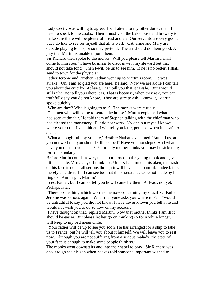Lady Cecily was willing to agree. 'I will attend to my other duties then. I need to speak to the cooks. Then I must visit the bakehouse and brewery to make sure there will be plenty of bread and ale. Our servants are very good, but I do like to see for myself that all is well. Catherine and Mary are outside playing tennis, or so they pretend. The air should do them good. A pity that Martin is unable to join them.'

Sir Richard then spoke to the monks. 'Will you please tell Martin I shall come to him soon? I have business to discuss with my steward but that should not take long. Then I-will be up to see him. If he is no better, I shall send to town for the physician.'

Father Jerome and Brother Nathan went up to Martin's room. He was awake. `Oh, I am so glad you are here,' he said. 'Now we are alone I can tell you about the crucifix. At least, I can tell you that it is safe. But I would still rather not tell you where it is. That is because, when they ask, you can truthfully say you do not know. They are sure to ask. I know it,' Martin spoke quickly.

`Who are they? Who is going to ask? The monks were curious.

`The men who will come to search the house.' Martin explained what he had seen at the fair. He told them of Stephen talking with the chief man who had cleared the monastery. 'But do not worry. No-one but myself knows where your crucifix is hidden. I will tell you later, perhaps, when it is safe to do so.'

`What a thoughtful boy you are,' Brother Nathan exclaimed. 'But tell us, are you not well that you should still be abed? Have you not slept? And what have you done to your face? Your lady mother thinks you may be sickening for some malady.'

Before Martin could answer, the abbot turned to the young monk and gave a little chuckle. 'A malady? I think not. Unless I am much mistaken, that rash on his face is not at all serious though it will have been painful. Indeed, it is merely a nettle rash. I can see too that those scratches were not made by his fingers. Am I right, Martin?'

`Yes, Father, but I cannot tell you how I came by them. At least, not yet. Perhaps later.'

`There is one thing which worries me now concerning my crucifix.' Father Jerome was serious again. 'What if anyone asks you where it is? `T'would be untruthful to say you did not know. I have never known you tell a lie and would not wish you to do so now on my account.'

`I have thought on that,' replied Martin. 'Now that mother thinks I am ill it should be easier. But please let her go on thinking so for a while longer. I will keep to my bed meanwhile.'

`Your father will be up to see you soon. He has arranged for a ship to take us to France, but he will tell you about it himself. We will leave you to rest now. Although you are not suffering from a serious malady, the state of your face is enough to make some people think so.'

The monks went downstairs and into the chapel to pray. Sir Richard was about to go see his son when he was told someone important wished to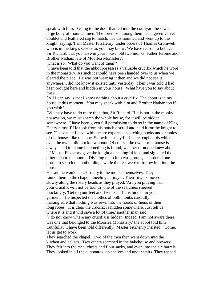speak with him. Going to the door that led into the courtyard he saw a large body of mounted men. The foremost among them had a green velvet doublet and feathered cap to match. He dismounted and went up to the knight, saying, 'I am Master FitzHenry, under orders of Thomas Cromwell who is in the king's service as you may know. We have reason to believe, Sir Richard, that you have in your household two monks, Father Jerome and Brother Nathan, late of Moorlea Monastery.'

`That is so. What do you want of them?'

`I have been told that the abbot possesses a valuable crucifix which he wore in the monastery. As such it should have been handed over to us when we cleared the place. He was not wearing it then and we did not see it anywhere. I did not know it existed until yesterday. Then I was told it had been brought here and hidden in your house. What have you to say about this?'

`All I can say is that I know nothing about a crucifix. The abbot is in my house at this moment. You may speak with him and Brother Nathan too if you wish.'

`We may have to do more than that, Sir Richard. If it is not in the monks' possession, we must search the whole house, for it will be hidden somewhere. I have been given full permission to do so in the name of King Henry himself' He took from his pouch a scroll and held it for the knight to see. 'These men I have with me are experts at searching nooks and crannies of old houses like this one. Sometimes they find secret cupboards which even the owner did not know about. Of course, the owner of a house is always held to blame if something is found, whether or not he knew about it.' Master Fitzhenry gave the knight a meaningful look and signalled the other men to dismount. Dividing them into two groups, he ordered one group to search the outbuildings while the rest were to follow him into the house.

He said he would speak firstly to the monks themselves. They found them in the chapel, kneeling at prayer. Their fingers moved slowly along the rosary beads as they prayed. 'Are you praying that your crucifix will not be found?' one of the searchers sneered mockingly. 'Get to your feet and I will see if it is hidden in your garment.' He inspected the clothes of both monks carefully, making sure that nothing was sewn into the hoods or hems of their long robes. `It is clear the crucifix is hidden somewhere. Just tell us where it is and it will save a lot of time,' another man said.

`I do not know where any crucifix is hidden. Indeed, I am not aware there was one that belonged to the Moorlea Monastery,' the abbot told him truthfully. `I have been told differently,' Master Fitzhenry insisted. 'Come, let us get to work.'

They searched the chapel. Two of the men then went down into the kitchen and cellars. Two others searched in the bakehouse and brewery. They felt into the meal chests and flour sacks, and even into the ale barrels. They looked in all the cupboards, on shelves and under stairs. They tapped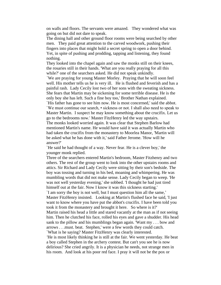on walls and floors. The servants were amazed. They wondered what was going on but did not dare to speak.

The dining hall and other ground floor rooms were being searched by other men. They paid great attention to the carved woodwork, pushing their fingers into places that might hold a secret spring to open a door behind. Yet, in spite of pushing and prodding, tapping and listening, they found nothing.

They looked into the chapel again and saw the monks still on their knees, the rosaries still in their hands. 'What are you really praying for all this while?' one of the searchers asked. He did not speak unkindly.

`We are praying for young Master Morley. Praying that he will soon feel well. His mother tells us he is very ill. He is flushed and feverish and has a painful rash. Lady Cecily lost two of her sons with the sweating sickness. She fears that Martin may be sickening for some terrible disease. He is the only boy she has left. Such a fine boy too,' Brother Nathan explained.

`His father has gone to see him now. He is most concerned,' said the abbot. `We must continue our search, • sickness or not. I shall also need to speak to Master Martin. I suspect he may know something about the crucifix. Let us go to the bedrooms now.' Master FitzHenry led the way upstairs.

The monks looked worried again. It was clear that Stephen Barlow had mentioned Martin's name. He would have said it was actually Martin who had taken the crucifix from the monastery to Moorlea Manor, 'Martin will be asked what he has done with it,' said Father Jerome. 'How will he answer?'

`He said he had thought of a way. Never fear. He is a clever boy,' the younger monk replied.

Three of the searchers entered Martin's bedroom, Master Fitzhenry and two others. The rest of the group went to look into the other upstairs rooms and attics. Sir Richard and Lady Cecily were sitting by their son's bedside. The boy was tossing and turning in his bed, moaning and whimpering. He was mumbling words that did not make sense. Lady Cecily began to weep. 'He was not well yesterday evening,' she sobbed. 'I thought he had just tired himself out at the fair. Now I know it was this sickness starting.'

`I am sorry the boy is not well, but I must question him all the same,'

Master FitzHenry insisted. Looking at Martin's flushed face he said, 'I just want to know where you have put the abbot's crucifix. I have been told you took it from the monastery and brought it here. So where is it?'

Martin raised his head a little and stared vacantly at the man as if not seeing him. Then he clutched his face, rolled his eyes and gave a shudder. His head sank to the pillow and his mumblings began again. 'Want my . . . bow and arrows . . .must. beat. Stephen,' were a few words they could catch. `What is he saying? Master FitzHenry was clearly interested.

'He is most likely thinking he is still at the fair. We went yesterday. He beat a boy called Stephen in the archery contest. But can't you see he is now delirious? She cried angrily. It is a physician he needs, not strange men in his room. And look at his poor red face. I pray it will not be the pox or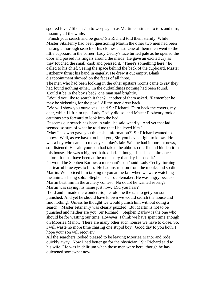spotted fever.' She began to weep again as Martin continued to toss and turn, moaning all the while.

`Finish your search and be gone,' Sir Richard told them sternly. While Master FitzHenry had been questioning Martin the other two men had been making a thorough search of his clothes chest. One of them then went to the little cupboard in the corner. Lady Cecily's face turned pale as he opened the door and passed his fingers around the inside. He gave an excited cry as they touched the small knob and pressed it. 'There's something here,' he called to his chief. Seeing the space behind the back of the cupboard, Master Fitzhenry thrust his hand in eagerly. He drew it out empty. Blank disappointment showed on the faces of all three.

The men who had been looking in the other upstairs rooms came to say they had found nothing either. In the outbuildings nothing had been found. 'Could it be in the boy's bed?' one man said brightly.

`Would you like to search it then?' another of them asked. 'Remember he may be sickening for the pox.' All the men drew back.

`We will show you ourselves,' said Sir Richard. 'Turn back the covers, my dear, while I lift him up.' Lady Cecily did so, and Master Fitzhenry took a cautious step forward to look into the bed.

`It seems our search has been in vain,' he said wearily. 'And yet that lad seemed so sure of what he told me that I believed him.'

`May I ask who gave you this false information?' Sir Richard wanted to know. `Well, as we have troubled you, Sir, you have a right to know. He was a boy who came to me at yesterday's fair. Said he had important news, so I listened. He said your son had taken the abbot's crucifix and hidden it in this house. He was a big, red-haired lad. I thought I had seen him once before. It must have been at the monastery that day I closed it.'

`It would be Stephen Barlow, a merchant's son,' said Lady Cecily, turning her tearful blue eyes to him. He had instruction from the monks and so did Martin. We noticed him talking to you at the fair when we were watching the animals being sold. Stephen is a troublemaker. He was angry because Martin beat him in the archery contest. No doubt he wanted revenge. Martin was saying his name just now. Did you hear?'

'I did and it made me wonder. So, he told me the tale to get your son punished. And yet he should have known we would search the house and find nothing. Unless he thought we would punish him without doing a search.' Master Fitzhenry was clearly puzzled. 'But Martin is not to be punished and neither are you, Sir Richard.' Stephen Barlow is the one who should be for wasting our time. However, I think we have spent time enough on Moorlea Manor. There are many other such houses we have to close. So, I will waste no more time chasing one stupid boy. Good day to you both. I hope your son will recover.'

All the searchers looked pleased to be leaving Moorlea Manor and rode quickly away. 'Now I had better go for the physician,' Sir Richard said to his wife. 'He was in delirium when those men were here, though he has quietened somewhat now.'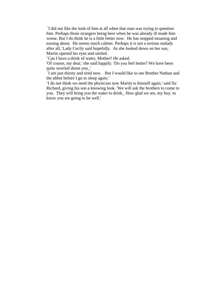`I did not like the look of him at all when that man was trying to question him. Perhaps those strangers being here when he was already ill made him worse. But I do think he is a little better now. He has stopped moaning and tossing about. He seems much calmer. Perhaps it is not a serious malady after all,' Lady Cecily said hopefully. As she looked down on her son, Martin opened his eyes and smiled.

`Can I have a drink of water, Mother? He asked.

'Of course, my dear,' she said happily. 'Do you feel better? We have been quite worried about you\_'

`I am just thirsty and tired now. But I would like to see Brother Nathan and the abbot before I go to sleep again.'

'I do not think we need the physician now Martin is himself again,' said Sir Richard, giving his son a knowing look. 'We will ask the brothers to come to you. They will bring you the water to drink\_ How glad we are, my boy, to know you are going to be well.'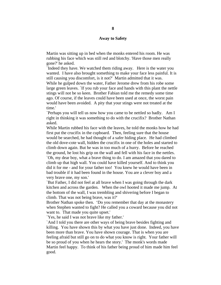#### **Away to Safety**

Martin was sitting up in bed when the monks entered his room. He was rubbing his face which was still red and blotchy. 'Have those men really gone?' he asked.

`Indeed they have. We watched them riding away. Here is the water you wanted. I have also brought something to make your face less painful. It is still causing you discomfort, is it not?' Martin admitted that it was.

While he gulped down the water, Father Jerome drew from his robe some large green leaves. `If you rub your face and hands with this plant the nettle stings will not be so keen. Brother Fabian told me the remedy some time ago. Of course, if the leaves could have been used at once, the worst pain would have been avoided. A pity that your stings were not treated at the time.'

`Perhaps you will tell us now how you came to be nettled so badly. Am I right in thinking it was something to do with the crucifix? Brother Nathan asked.

While Martin rubbed his face with the leaves, he told the monks how he had first put the crucifix in the cupboard. Then, feeling sure that the house would be searched, he had thought of a safer hiding place. He had climbed the old dove-cote wall, hidden the crucifix in one of the holes and started to climb down again. But he was in too much of a hurry. Before he reached the ground, he lost his grip on the wall and fell with his face in the nettles. `Oh, my dear boy, what a brave thing to do. I am amazed that you dared to climb up that high wall. You could have killed yourself. And to think you did it for me - and for your father too! You knew he would have been in bad trouble if it had been found in the house. You are a clever boy and a very brave one, my son.'

`But Father, I did not feel at all brave when I was going through the dark kitchen and across the garden. When the owl hooted it made me jump. At the bottom of the wall, I was trembling and shivering before I began to climb. That was not being brave, was it?'

Brother Nathan spoke then. 'Do you remember that day at the monastery when Stephen wanted to fight? He called you a coward because you did not want to. That made you quite upset.'

`Yes, he said I was not brave like my father.'

`And I told you there are other ways of being brave besides fighting and killing. You have shown this by what you have just done. Indeed, you have been more than brave. You have shown courage. That is when you are feeling afraid but still go on to do what you know is right. Your father will be so proud of you when he hears the story.' The monk's words made Martin feel happy. To think of his father being proud of him made him feel good.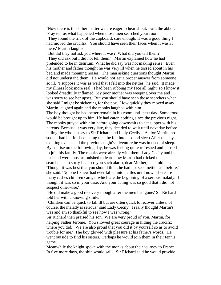`Now there is this other matter we are eager to hear about,' said the abbot. 'Pray tell us what happened when those men searched your room.'

`They found the trick of the cupboard, sure enough. It was a good thing I had moved the crucifix. You should have seen their faces when it wasn't there,' Martin laughed.

`But did they not ask you where it was? What did you tell them?' `They did ask but I did not tell them.' Martin explained how he had pretended to be in delirium. What he did say was not making sense. Even his mother and father thought he was very ill when he tossed about in his bed and made moaning noises. The man asking questions thought Martin did not understand them. He would not get a proper answer from someone so ill. 'I suppose it was as well that I fell into the nettles,' he said. 'It made my illness look more real. I had been rubbing my face all night, so I know it looked dreadfully inflamed. My poor mother was weeping over me and I was sorry to see her upset. But you should have seen those searchers when she said I might be sickening for the pox. How quickly they moved away! Martin laughed again and the monks laughed with him.

The boy thought he had better remain in his room until next day. Some food would be brought up to him. He had eaten nothing since the previous night. The monks prayed with him before going downstairs to eat supper with his parents. Because it was very late, they decided to wait until next day before telling the whole story to Sir Richard and Lady Cecily. As for Martin, no sooner had he finished eating than he fell into a sound sleep After the day's exciting events and the previous night's adventure he was in need of sleep. By sunrise on the following day, he was feeling quite refreshed and hurried to join his family. The monks were already with them. Lady Cecily and her husband were most astonished to learn how Martin had tricked the searchers. am sorry I caused you such alarm, dear Mother,' he told her. 'Though it was best that you should think he had not seen nettle rash before,' she said. 'No one I knew had ever fallen into nettles until now. There are many rashes children can get which are the beginning of a serious malady. I thought it was so in your case. And your acting was so good that I did not suspect otherwise.'

`He did make a good recovery though after the men had gone,' Sir Richard told her with a knowing smile.

`Children can be quick to fall ill but are often quick to recover unless, of course, the malady is serious,' said Lady Cecily. 'I really thought Martin's was and am so thankful to see how I was wrong.'

Sir Richard then praised his son. 'We are very proud of you, Martin, for helping Father Jerome. You showed great courage in hiding the crucifix where you did. We are also proud that you did it by yourself so as to avoid trouble for me.' The boy glowed with pleasure at his father's words. He went outside to find his sisters. Perhaps he would join them in their tennis game.

Meanwhile the knight spoke with the monks about their journey to France. In five more days, the ship would sail. Sir Richard said he would provide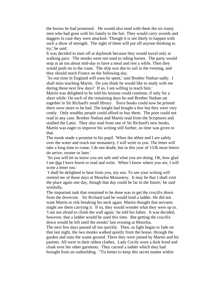the horses he had promised. He would also send with them the six trusty men who had gone with his family to the fair. They would carry swords and daggers in case they were attacked. 'Though it is not likely to happen with such a show of strength. The sight of them will put off anyone thinking to try,' he said.

It was decided to start off at daybreak because they would travel only at walking pace. The monks were not used to riding horses. The party would stop at an inn about mid-day to have a meal and rest a while. Then they would push on to the coast. The ship was due to sail in the evening, and they should reach France on the following day.

`So our time in England will soon be spent,' said Brother Nathan sadly. I shall miss teaching Martin. Do you think he would like to study with me during these next few days? If so, I am willing to teach him.'

Martin was delighted to be told his lessons could continue, if only for a short while. On each of the remaining days he and Brother Nathan sat together in Sir Richard's small library. Since books could now be printed there were more to be had. The knight had bought a few but they were very costly. Only wealthy people could afford to buy them. The poor could not read in any case. Brother Nathan and Martin read from the Scriptures and studied the Latin. They also read from one of Sir Richard's new books. Martin was eager to improve his writing still further, so time was given to that.

The monk made a promise to his pupil. 'When the abbot and I are safely over the water and reach our monastery, I will write to you. The letter will take a long time to come, I do not doubt, but in this year of 1536 most letters do arrive, sooner or later.'

`So you will let us know you are safe and what you are doing. Oh, how glad I am that I have learnt to read and write. When I know where you are, I will write a letter too.'

`I shall be delighted to hear from you, my son. To see your writing will remind me of those days at Moorlea Monastery. It may be that I shall visit the place again one day, though that day could be far in the future,' he said wistfully.

The important task that remained to be done was to get the crucifix down from the dovecote. Sir Richard said he would lend a ladder. He did not want Martin to risk breaking his neck again. Martin thought that servants might see them carrying it. If so, they would wonder what they were up to. 'I am not afraid to climb the wall again,' he told his father. It was decided, however, that a ladder would be used this time. But getting the crucifix down would be left until the monks' last evening at Moorlea.

The next few days passed all too quickly. Then, as light began to fade on that last night, the two monks walked quietly from the house, through the garden and onto the waste ground. There they were joined by Martin and his parents. All were in their oldest clothes. Lady Cecily wore a dark hood and cloak over her other garments. They carried a ladder which they had brought from an outbuilding. "Tis better to keep this secret matter within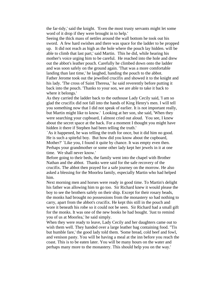the far-tidy,' said the knight. 'Even the most trusty servants might let some word of it drop if they were brought in to help.'

Seeing the thick mass of nettles around the wall bottom he took out his sword. A few hard swishes and there was space for the ladder to be propped up. It did not reach as high as the hole where the pouch lay hidden. will be able to climb that last part,' said Martin. This he did, while hearing his mother's voice urging him to be careful. He reached into the hole and drew out the abbot's leather pouch. Carefully he climbed down onto the ladder and was soon safely on the ground again. 'That was a more comfortable landing than last time,' he laughed, handing the pouch to the abbot. Father Jerome took out the jewelled crucifix and showed it to the knight and his lady. 'The cross of Saint Theresa,' he said reverently before putting it back into the pouch. 'Thanks to your son, we are able to take it back to where it belongs.'

As they carried the ladder back to the outhouse Lady Cecily said, 'I am so glad the crucifix did not fall into the hands of King Henry's men. I will tell you something now that I did not speak of earlier. It is not important really, but Martin might like to know.' Looking at her son, she said, 'When they were searching your cupboard, I almost cried out aloud. You see, I knew about the secret space at the back. For a moment I thought you might have hidden it there if Stephen had been telling the truth.'

`As it happened, he was telling the truth for once, but it did him no good. He is such a spiteful boy. But how did you know about the cupboard, Mother?' `Like you, I found it quite by chance. It was empty even then. Perhaps your grandmother or some other lady kept her jewels in it at one time. We shall never know.'

Before going to their beds, the family went into the chapel with Brother Nathan and the abbot. Thanks were said for the safe recovery of the crucifix. The abbot then prayed for a safe journey on the morrow. He also asked a blessing for the Moorlea family, especially Martin who had helped him.

Next morning men and horses were ready in good time. To Martin's delight his father was allowing him to go too. Sir Richard knew it would please the boy to see the brothers safely on their ship. Except for their rosary beads, the monks had brought no possessions from the monastery so had nothing to carry, apart from the abbot's crucifix. He kept this still in the pouch and wore it beneath his robe so it could not be seen. Sir Richard had a small gift for the monks. It was one of the new books he had bought. 'Just to remind you of us at Moorlea,' he said simply.

When they were ready to leave, Lady Cecily and her daughters came out to wish them well. They handed over a large leather bag containing food. "Tis but humble fare,' the good lady told them. 'Some bread, cold beef and fowl, and venison pasty. You will be having a meal at the inn before you reach the coast. This is to be eaten later. You will be many hours on the water and perhaps many more to the monastery. This should help you on the way.'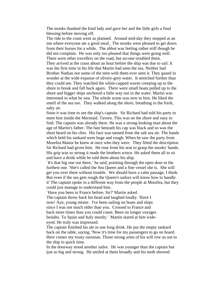The monks thanked the kind lady and gave her and the little girls a final blessing before moving off.

The ride to the coast went as planned. Around mid-day they stopped at an inn where everyone ate a good meal\_ The monks were pleased to get down from their horses for a while. The abbot was feeling rather stiff though he did not complain. He was only too pleased that things were going well. There were other travellers on the road, but no-one troubled them. They arrived at the coast about an hour before the ship was due to sail. It was the first time in his life that Martin had seen the sea. Neither had Brother Nathan nor some of the men with them ever seen it. They gazed in wonder at the wide expanse of silvery-grey water. It stretched further than they could see. They watched the white-capped waves creeping up to the shore to break and fall back again. There were small boats pulled up to the shore and bigger ships anchored a little way out in the water. Martin was interested in what he saw. The whole scene was new to him. He liked the smell of the sea too. They walked along the shore, breathing in the fresh, salty air.

Soon it was time to see the ship's captain. Sir Richard had told his party to meet him inside the Mermaid. Tavern. This was on the shore and easy to find. The captain was already there. He was a strong-looking man about the age of Martin's father. The hair beneath his cap was black and so was the short beard on his chin. His face was tanned from the salt sea air. The hands which held his tankard were huge and rough. When he saw the party from Moorlea Manor he knew at once who they were. They fitted the description Sir Richard had given him. He rose from his seat to grasp the monks' hands. His grip was so strong it made the brothers wince. He asked them all to sit and have a drink while he told them about his ship.

`It's that big one out there,' he said, pointing through the open door to the furthest one. 'She's called the Sea Queen and a fine vessel she is. She will get you over there without trouble. We should have a calm passage, I think. But even if the sea gets rough the Queen's sailors will know how to handle it' The captain spoke in a different way from the people at Moorlea, but they could just manage to understand him.

`Have you been to France before, Sir?' Martin asked.

The captain threw back his head and laughed loudly. 'Have I now! Aye, young mister. I've been sailing on boats and ships since I was not much older than you. Crossed to France and back more times than you could count. Been on longer voyages besides. To Spain and Italy mostly.' Martin stared at him wideeyed. He truly was impressed.

The captain finished his ale in one long drink. He put the empty tankard back on the table, saying, 'Now it's time for my passengers to go on board. Here comes my trusty oarsman. Those strong arms of his will row us out to the ship in quick time.

In the doorway stood another sailor. He was younger than the captain but just as big and strong. He smiled at them broadly and his teeth showed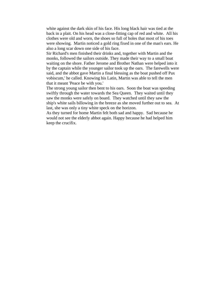white against the dark skin of his face. His long black hair was tied at the back in a plait. On his head was a close-fitting cap of red and white. All his clothes were old and worn, the shoes so full of holes that most of his toes were showing. Martin noticed a gold ring fixed in one of the man's ears. He also a long scar down one side of his face.

Sir Richard's men finished their drinks and, together with Martin and the monks, followed the sailors outside. They made their way to a small boat waiting on the shore. Father Jerome and Brother Nathan were helped into it by the captain while the younger sailor took up the oars. The farewells were said, and the abbot gave Martin a final blessing as the boat pushed off Pax vobiscum,' he called. Knowing his Latin, Martin was able to tell the men that it meant 'Peace be with you.'

The strong young sailor then bent to his oars. Soon the boat was speeding swiftly through the water towards the Sea Queen. They waited until they saw the monks were safely on board. They watched until they saw the ship's white sails billowing in the breeze as she moved further out to sea. At last, she was only a tiny white speck on the horizon.

As they turned for home Martin felt both sad and happy. Sad because he would not see the elderly abbot again. Happy because he had helped him keep the crucifix.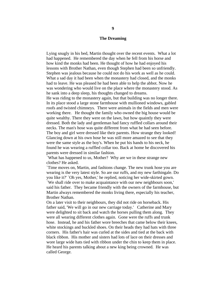#### **The Dreaming**

Lying snugly in his bed, Martin thought over the recent events. What a lot had happened. He remembered the day when he fell from his horse and how kind the monks had been. He thought of how he had enjoyed his lessons with Brother Nathan, even though Stephen had been so unfriendly. Stephen was jealous because he could not do his work as well as he could. What a sad day it had been when the monastery had closed, and the monks had to leave. He was pleased he had been able to help the abbot. Now he was wondering who would live on the place where the monastery stood. As he sank into a deep sleep, his thoughts changed to dreams.

He was riding to the monastery again, but that building was no longer there. In its place stood a large stone farmhouse with mullioned windows, gabled roofs and twisted chimneys. There were animals in the fields and men were working there. He thought the family who owned the big house would be quite wealthy. There they were on the lawn, but how quaintly they were dressed. Both the lady and gentleman had fancy ruffled collars around their necks. The man's hose was quite different from what he had seen before. The boy and girl were dressed like their parents. How strange they looked! Glancing down at his own hose he was still more amazed to see that they were the same style as the boy's. When he put his hands to his neck, he found he was wearing a ruffled collar too. Back at home he discovered his parents were dressed in similar fashion.

`What has happened to us, Mother? Why are we in these strange new clothes? He asked.

`Time moves on, Martin, and fashions change. The new trunk hose you are wearing is the very latest style. So are our ruffs, and my new farthingale. Do you like it?' `Oh yes, Mother,' he replied, noticing her wide-skirted gown. `We shall ride over to make acquaintance with our new neighbours soon,' said his father. They became friendly with the owners of the farmhouse, but Martin always remembered the monks living there, especially his teacher, Brother Nathan.

On a later visit to their neighbours, they did not ride on horseback. His father said, 'We will go in our new carriage today.' Catherine and Mary were delighted to sit back and watch the horses pulling them along. They were all wearing different clothes again. Gone were the ruffs and trunk hose. Instead, he and his father wore breeches that came below their knees, white stockings and buckled shoes. On their heads they had hats with three corners. His father's hair was curled at the sides and tied at the back with black ribbon. His mother and sisters had lots of lace on their dresses and wore large wide hats tied with ribbon under the chin to keep them in place. He heard his parents talking about a new king being crowned. He was called George.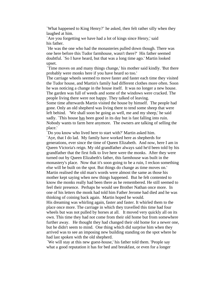`What happened to King Henry?' he asked, then felt rather silly when they laughed at him.

`Are you forgetting we have had a lot of kings since Henry,' said his father.

`He was the one who had the monasteries pulled down though. There was one here before this Tudor farmhouse, wasn't there?' His father seemed doubtful. `So I have heard, but that was a long time ago.' Martin looked upset.

`Time moves on and many things change,' his mother said kindly. 'But there probably were monks here if you have heard so too.'

The carriage wheels seemed to move faster and faster each time they visited the Tudor house, and Martin's family had different clothes more often. Soon he was noticing a change in the house itself. It was no longer a new house. The garden was full of weeds and some of the windows were cracked. The people living there were not happy. They talked of leaving.

Some time afterwards Martin visited the house by himself. The people had gone. Only an old shepherd was living there to tend some sheep that were left behind. 'We shall soon be going as well, me and my sheep,' he said sadly. `This house has been good in its day but is fast falling into ruin. Nobody wants to farm here anymore. The owners are talking of selling the place.'

`Do you know who lived here to start with?' Martin asked him.

`Aye, that I do lad. My family have worked here as shepherds for generations, ever since the time of Queen Elizabeth. And now, here I am in Queen Victoria's reign. My old grandfather always said he'd been told by his grandfather that the first folk to live here were the monks. After they were turned out by Queen Elizabeth's father, this farmhouse was built in the monastery's place. Now that it's soon going to be a ruin, I reckon something else will be built on the spot. But things do change as time moves on.' Martin realised the old man's words were almost the same as those his mother kept saying when new things happened. But he felt contented to know the monks really had been there as he remembered. He still seemed to feel their presence. Perhaps he would see Brother Nathan once more. In one of his letters the monk had told him Father Jerome had died and he was thinking of coining back again. Martin hoped he would.

His dreaming was whirling again, faster and faster. It whirled them to the place once more. The carriage in which they travelled this time had four wheels but was not pulled by horses at all. It moved very quickly all on its own. This time they had not come from their old home but from somewhere further away. He thought they had changed their old home for a newer one, but he didn't seem to mind. One thing which did surprise him when they arrived was to see an imposing new building standing on the spot where he had last spoken with the old shepherd.

`We will stay at this new guest-house,' his father told them. 'People say what a good reputation it has for bed and breakfast, or even for a longer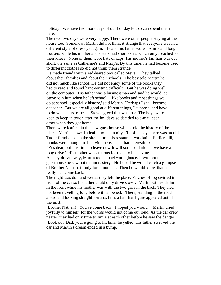holiday. We have two more days of our holiday left so can spend them here.'

The next two days were very happy. There were other people staying at the house too. Somehow, Martin did not think it strange that everyone was in a different style of dress yet again. He and his father wore T-shirts and long trousers while his mother and sisters had short skirts which only, reached to their knees. None of them wore hats or caps. His mother's fair hair was cut short, the same as Catherine's and Mary's. By this time, he had become used to different clothes so did not think them strange.

He made friends with a red-haired boy called Steve. They talked about their families and about their schools. The boy told Martin he did not much like school. He did not enjoy some of the books they had to read and found hand-writing difficult. But he was doing well on the computer. His father was a businessman and said he would let Steve join him when he left school. 'I like books and most things we do at school, especially history,' said Martin. `Perhaps I shall become a teacher. But we are all good at different things, I suppose, and have to do what suits us best.' Steve agreed that was true. The boys were keen to keep in touch after the holidays so decided to e-mail each other when they got home.

There were leaflets in the new guesthouse which told the history of the place. Martin showed a leaflet to his family. 'Look. It says there was an old Tudor farmhouse on the site before this restaurant was built. Earlier still, monks were thought to be living here. Isn't that interesting?'

`Yes dear, but it is time to leave now It will soon be dark and we have a long drive.' His mother was anxious for them to be leaving.

As they drove away, Martin took a backward glance. It was not the guesthouse he saw but the monastery. He hoped he would catch a glimpse of Brother Nathan, if only for a moment. Then he would know that he really had come back.

The night was dull and wet as they left the place. Patches of fog swirled in front of the car so his father could only drive slowly. Martin sat beside him in the front while his mother was with the two girls in the back. They had not been travelling long before it happened. There, standing in the road ahead and looking straight towards him, a familiar figure appeared out of the mist.

`Brother Nathan! You've come back! I hoped you would,' Martin cried joyfully to himself, for the words would not come out loud. As the car drew nearer, they had only time to smile at each other before he saw the danger. `Look out, Dad, you're going to hit him,' he yelled. His father swerved the car and Martin's dream ended in a bump.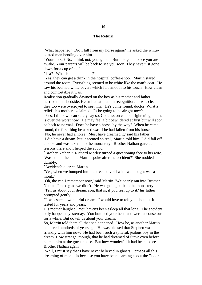#### **The Return**

`What happened? Did I fall from my horse again?' he asked the whitecoated man bending over him.

`Your horse? No, I think not, young man. But it is good to see you are awake. Your parents will be back to see you soon. They have just gone down for a cup of tea.'

`Tea? What is

`Yes, they can get a drink in the hospital coffee-shop.' Martin stared around the room. Everything seemed to be white like the man's coat. He saw his bed had white covers which felt smooth to his touch. How clean and comfortable it was.

Realisation gradually dawned on the boy as his mother and father hurried to his bedside. He smiled at them in recognition. It was clear they too were overjoyed to see him. 'He's come round, doctor. What a relief!' his mother exclaimed. 'Is he going to be alright now?'

`Yes, I think we can safely say so. Concussion can be frightening, but he is over the worst now. He may feel a bit bewildered at first but will soon be back to normal. Does he have a horse, by the way? When he came round, the first thing he asked was if he had fallen from his horse.' `No, he never had a horse. Must have dreamed it,' said his father\_

`I did have a dream, but it seemed so real,' Martin told him. 'I did fall off a horse and was taken into the monastery. Brother Nathan gave us lessons there and I helped the abbot.'

`Brother Nathan?' Richard Morley turned a questioning face to his wife. 'Wasn't that the name Martin spoke after the accident?' She nodded dumbly.

`Accident?' queried Martin

`Yes, when we bumped into the tree to avoid what we thought was a monk.'

`Oh, the car. I remember now,' said Martin. 'We nearly ran into Brother Nathan. I'm so glad we didn't. He was going back to the monastery.' `Tell us about your dream, son; that is, if you feel up to it,' his father prompted gently.

`It was such a wonderful dream. I would love to tell you about it. It lasted for years and years:

His mother laughed. 'You haven't been asleep all that long. The accident only happened yesterday. You bumped your head and were unconscious for a while. But do tell us about your dream.'

So, Martin told them all that had happened. How he, as another Martin had lived hundreds of years ago. He was pleased that Stephen was friendly with him now. He had been such a spiteful, jealous boy in the dream. How strange, though, that he had dreamed of Steve even before he met him at the guest house. But how wonderful it had been to see Brother Nathan again.'

`Well, I must say that I have never believed in ghosts. Perhaps all this dreaming of monks is because you have been learning about the Tudors